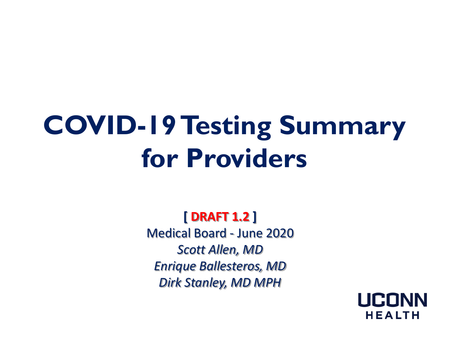# **COVID-19 Testing Summary for Providers**

**[ DRAFT 1.2 ]**  Medical Board - June 2020 *Scott Allen, MD Enrique Ballesteros, MD Dirk Stanley, MD MPH*

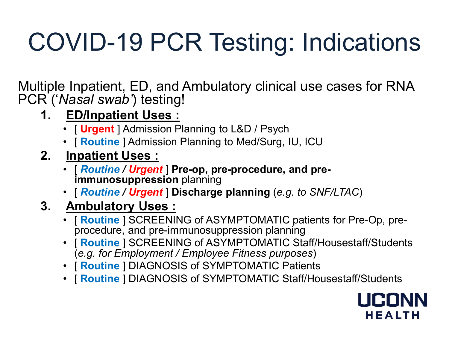# COVID-19 PCR Testing: Indications

Multiple Inpatient, ED, and Ambulatory clinical use cases for RNA PCR ('*Nasal swab'*) testing!

- **1. ED/Inpatient Uses :** 
	- [ **Urgent** ] Admission Planning to L&D / Psych
	- [ **Routine** ] Admission Planning to Med/Surg, IU, ICU
- **2. Inpatient Uses :** 
	- [ *Routine / Urgent* ] **Pre-op, pre-procedure, and pre- immunosuppression** planning
	- [ *Routine / Urgent* ] **Discharge planning** (*e.g. to SNF/LTAC*)

### **3. Ambulatory Uses :**

- [ **Routine** ] SCREENING of ASYMPTOMATIC patients for Pre-Op, pre- procedure, and pre-immunosuppression planning
- [ **Routine** ] SCREENING of ASYMPTOMATIC Staff/Housestaff/Students (*e.g. for Employment / Employee Fitness purposes*)
- [ **Routine** ] DIAGNOSIS of SYMPTOMATIC Patients
- [ **Routine** ] DIAGNOSIS of SYMPTOMATIC Staff/Housestaff/Students

# **HEALTH**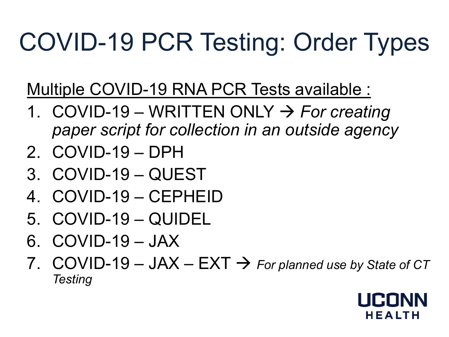# COVID-19 PCR Testing: Order Types

Multiple COVID-19 RNA PCR Tests available :

- 1. COVID-19 WRITTEN ONLY *For creating paper script for collection in an outside agency*
- 2. COVID-19 DPH
- 3. COVID-19 QUEST
- 4. COVID-19 CEPHEID
- 5. COVID-19 QUIDEL
- 6. COVID-19 JAX
- 7. COVID-19 JAX EXT  $\rightarrow$  For planned use by State of CT *Testing*

# **HEALTH**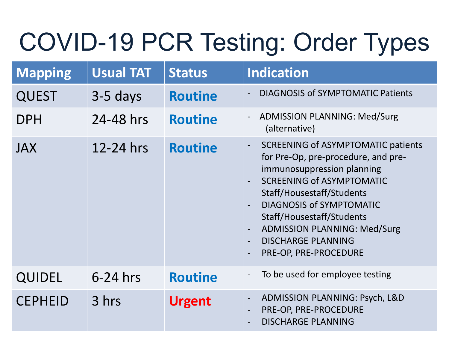## COVID-19 PCR Testing: Order Types

| <b>Mapping</b> | <b>Usual TAT</b> | <b>Status</b>  | Indication                                                                                                                                                                                                                                                                                                                                              |  |
|----------------|------------------|----------------|---------------------------------------------------------------------------------------------------------------------------------------------------------------------------------------------------------------------------------------------------------------------------------------------------------------------------------------------------------|--|
| <b>QUEST</b>   | $3-5$ days       | <b>Routine</b> | <b>DIAGNOSIS of SYMPTOMATIC Patients</b>                                                                                                                                                                                                                                                                                                                |  |
| <b>DPH</b>     | 24-48 hrs        | <b>Routine</b> | <b>ADMISSION PLANNING: Med/Surg</b><br>(alternative)                                                                                                                                                                                                                                                                                                    |  |
| <b>JAX</b>     | 12-24 hrs        | <b>Routine</b> | <b>SCREENING of ASYMPTOMATIC patients</b><br>$\blacksquare$<br>for Pre-Op, pre-procedure, and pre-<br>immunosuppression planning<br><b>SCREENING of ASYMPTOMATIC</b><br>Staff/Housestaff/Students<br>DIAGNOSIS of SYMPTOMATIC<br>Staff/Housestaff/Students<br><b>ADMISSION PLANNING: Med/Surg</b><br><b>DISCHARGE PLANNING</b><br>PRE-OP, PRE-PROCEDURE |  |
| <b>QUIDEL</b>  | $6-24$ hrs       | <b>Routine</b> | To be used for employee testing                                                                                                                                                                                                                                                                                                                         |  |
| <b>CEPHEID</b> | 3 hrs            | <b>Urgent</b>  | ADMISSION PLANNING: Psych, L&D<br>PRE-OP, PRE-PROCEDURE<br><b>DISCHARGE PLANNING</b>                                                                                                                                                                                                                                                                    |  |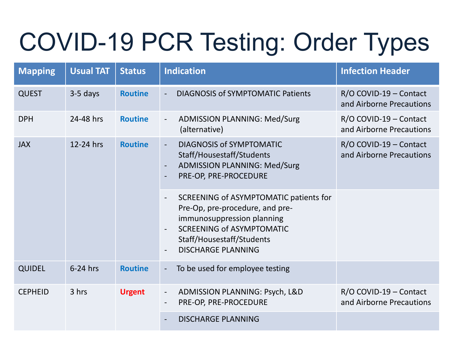# COVID-19 PCR Testing: Order Types

| <b>Mapping</b> | <b>Usual TAT</b> | <b>Status</b>  | <b>Indication</b>                                                                                                                                                                                     | <b>Infection Header</b>                            |
|----------------|------------------|----------------|-------------------------------------------------------------------------------------------------------------------------------------------------------------------------------------------------------|----------------------------------------------------|
| <b>QUEST</b>   | $3-5$ days       | <b>Routine</b> | <b>DIAGNOSIS of SYMPTOMATIC Patients</b><br>$\equiv$                                                                                                                                                  | R/O COVID-19 - Contact<br>and Airborne Precautions |
| <b>DPH</b>     | 24-48 hrs        | <b>Routine</b> | <b>ADMISSION PLANNING: Med/Surg</b><br>(alternative)                                                                                                                                                  | R/O COVID-19 - Contact<br>and Airborne Precautions |
| <b>JAX</b>     | 12-24 hrs        | <b>Routine</b> | <b>DIAGNOSIS of SYMPTOMATIC</b><br>$\blacksquare$<br>Staff/Housestaff/Students<br><b>ADMISSION PLANNING: Med/Surg</b><br>PRE-OP, PRE-PROCEDURE                                                        | R/O COVID-19 - Contact<br>and Airborne Precautions |
|                |                  |                | SCREENING of ASYMPTOMATIC patients for<br>Pre-Op, pre-procedure, and pre-<br>immunosuppression planning<br><b>SCREENING of ASYMPTOMATIC</b><br>Staff/Housestaff/Students<br><b>DISCHARGE PLANNING</b> |                                                    |
| <b>QUIDEL</b>  | $6-24$ hrs       | <b>Routine</b> | To be used for employee testing<br>$\overline{\phantom{a}}$                                                                                                                                           |                                                    |
| <b>CEPHEID</b> | 3 hrs            | <b>Urgent</b>  | ADMISSION PLANNING: Psych, L&D<br>$\sim$<br>PRE-OP, PRE-PROCEDURE<br>$\overline{\phantom{a}}$                                                                                                         | R/O COVID-19 - Contact<br>and Airborne Precautions |
|                |                  |                | <b>DISCHARGE PLANNING</b>                                                                                                                                                                             |                                                    |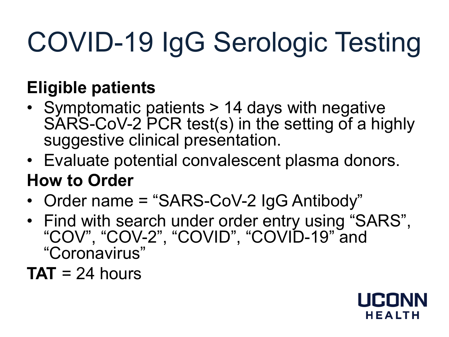# COVID-19 IgG Serologic Testing

### **Eligible patients**

- Symptomatic patients > 14 days with negative SARS-CoV-2 PCR test(s) in the setting of a highly suggestive clinical presentation.
- Evaluate potential convalescent plasma donors.

### **How to Order**

- Order name = "SARS-CoV-2 IgG Antibody"
- Find with search under order entry using "SARS", "COV", "COV-2", "COVID", "COVID-19" and "Coronavirus"

 $TAT = 24$  hours